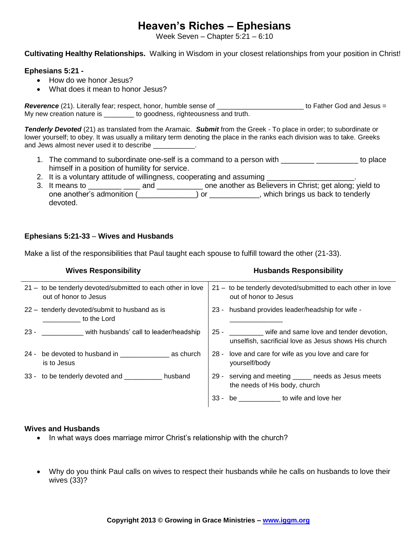# **Heaven's Riches – Ephesians**

Week Seven – Chapter 5:21 – 6:10

**Cultivating Healthy Relationships.** Walking in Wisdom in your closest relationships from your position in Christ!

### **Ephesians 5:21 -**

- How do we honor Jesus?
- What does it mean to honor Jesus?

*Reverence* (21). Literally fear; respect, honor, humble sense of \_\_\_\_\_\_\_\_\_\_\_\_\_\_\_\_\_\_\_\_\_\_\_ to Father God and Jesus = My new creation nature is \_\_\_\_\_\_\_\_ to goodness, righteousness and truth.

*Tenderly Devoted* (21) as translated from the Aramaic. *Submit* from the Greek - To place in order; to subordinate or lower yourself; to obey. It was usually a military term denoting the place in the ranks each division was to take. Greeks and Jews almost never used it to describe  $\qquad \qquad$ .

- 1. The command to subordinate one-self is a command to a person with \_\_\_\_\_\_\_\_\_\_\_\_\_\_\_\_\_\_\_\_\_\_ to place himself in a position of humility for service.
- 2. It is a voluntary attitude of willingness, cooperating and assuming \_\_\_\_\_\_\_\_\_
- 3. It means to \_\_\_\_\_\_\_\_ \_\_\_\_ and \_\_\_\_\_\_\_\_\_\_\_ one another as Believers in Christ; get along; yield to one another's admonition (\_\_\_\_\_\_\_\_\_\_\_\_\_\_) or \_\_\_\_\_\_\_\_\_\_\_\_, which brings us back to tenderly devoted.

## **Ephesians 5:21-33** – **Wives and Husbands**

Make a list of the responsibilities that Paul taught each spouse to fulfill toward the other (21-33).

| <b>Wives Responsibility</b>                                                          | <b>Husbands Responsibility</b>                                                                                |
|--------------------------------------------------------------------------------------|---------------------------------------------------------------------------------------------------------------|
| 21 - to be tenderly devoted/submitted to each other in love<br>out of honor to Jesus | 21 - to be tenderly devoted/submitted to each other in love<br>out of honor to Jesus                          |
| 22 - tenderly devoted/submit to husband as is<br>to the Lord                         | 23 - husband provides leader/headship for wife -                                                              |
| 23 - _______________ with husbands' call to leader/headship                          | 25 - _______ wife and same love and tender devotion,<br>unselfish, sacrificial love as Jesus shows His church |
| 24 - be devoted to husband in as church<br>is to Jesus                               | 28 - love and care for wife as you love and care for<br>yourself/body                                         |
| 33 - to be tenderly devoted and ___________ husband                                  | 29 - serving and meeting _____ needs as Jesus meets<br>the needs of His body, church                          |
|                                                                                      | 33 - be ____________ to wife and love her                                                                     |

#### **Wives and Husbands**

- In what ways does marriage mirror Christ's relationship with the church?
- Why do you think Paul calls on wives to respect their husbands while he calls on husbands to love their wives (33)?